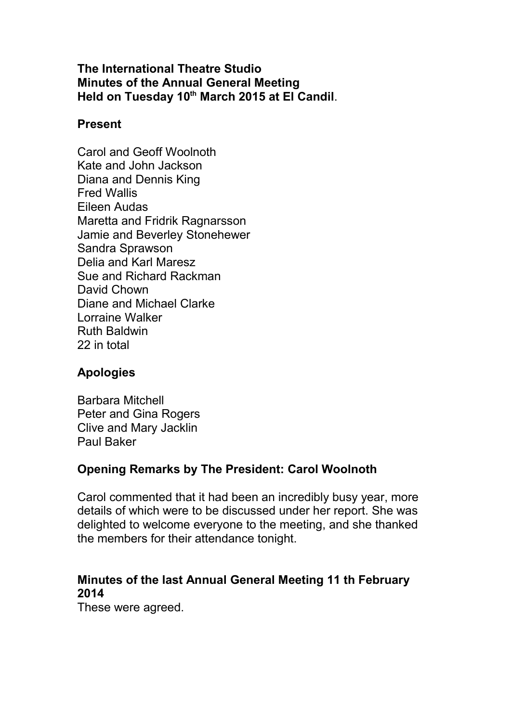#### **The International Theatre Studio Minutes of the Annual General Meeting Held on Tuesday 10th March 2015 at El Candil**.

#### **Present**

Carol and Geoff Woolnoth Kate and John Jackson Diana and Dennis King Fred Wallis Eileen Audas Maretta and Fridrik Ragnarsson Jamie and Beverley Stonehewer Sandra Sprawson Delia and Karl Maresz Sue and Richard Rackman David Chown Diane and Michael Clarke Lorraine Walker Ruth Baldwin 22 in total

## **Apologies**

Barbara Mitchell Peter and Gina Rogers Clive and Mary Jacklin Paul Baker

# **Opening Remarks by The President: Carol Woolnoth**

Carol commented that it had been an incredibly busy year, more details of which were to be discussed under her report. She was delighted to welcome everyone to the meeting, and she thanked the members for their attendance tonight.

## **Minutes of the last Annual General Meeting 11 th February 2014**

These were agreed.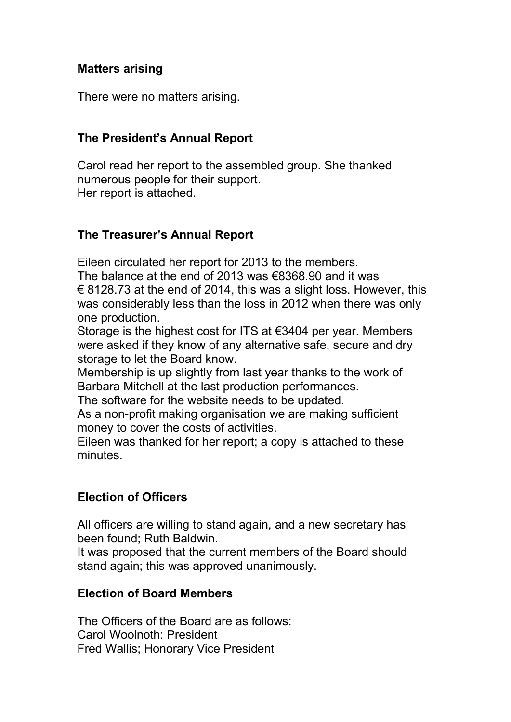## **Matters arising**

There were no matters arising.

#### **The President's Annual Report**

Carol read her report to the assembled group. She thanked numerous people for their support. Her report is attached.

## **The Treasurer's Annual Report**

Eileen circulated her report for 2013 to the members.

The balance at the end of 2013 was €8368.90 and it was  $\epsilon$  8128.73 at the end of 2014, this was a slight loss. However, this was considerably less than the loss in 2012 when there was only one production.

Storage is the highest cost for ITS at €3404 per year. Members were asked if they know of any alternative safe, secure and dry storage to let the Board know.

Membership is up slightly from last year thanks to the work of Barbara Mitchell at the last production performances.

The software for the website needs to be updated.

As a non-profit making organisation we are making sufficient money to cover the costs of activities.

Eileen was thanked for her report; a copy is attached to these minutes.

## **Election of Officers**

All officers are willing to stand again, and a new secretary has been found; Ruth Baldwin.

It was proposed that the current members of the Board should stand again; this was approved unanimously.

#### **Election of Board Members**

The Officers of the Board are as follows: Carol Woolnoth: President Fred Wallis; Honorary Vice President